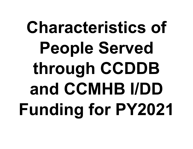## **Characteristics of People Served through CCDDB and CCMHB I/DD Funding for PY2021**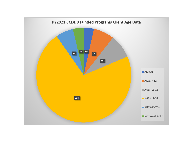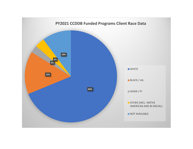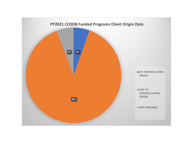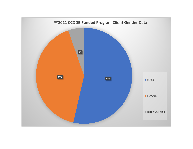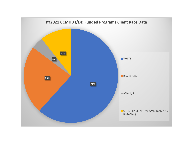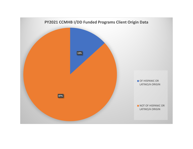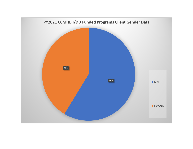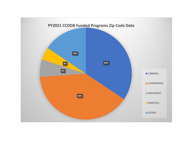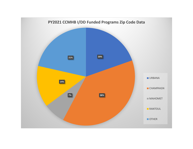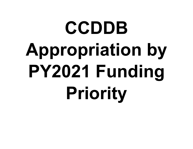## **CCDDB Appropriation by PY2021 Funding Priority**